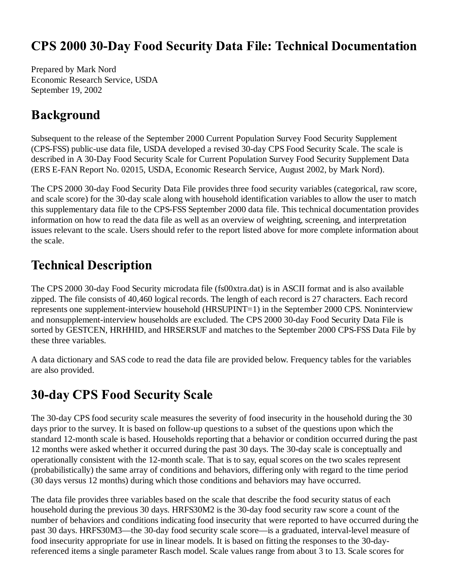### **CPS 2000 30-Day Food Security Data File: Technical Documentation**

Prepared by Mark Nord Economic Research Service, USDA September 19, 2002

#### **Background**

Subsequent to the release of the September 2000 Current Population Survey Food Security Supplement (CPS-FSS) public-use data file, USDA developed a revised 30-day CPS Food Security Scale. The scale is described in A 30-Day Food Security Scale for Current Population Survey Food Security Supplement Data (ERS E-FAN Report No. 02015, USDA, Economic Research Service, August 2002, by Mark Nord).

The CPS 2000 30-day Food Security Data File provides three food security variables (categorical, raw score, and scale score) for the 30-day scale along with household identification variables to allow the user to match this supplementary data file to the CPS-FSS September 2000 data file. This technical documentation provides information on how to read the data file as well as an overview of weighting, screening, and interpretation issues relevant to the scale. Users should refer to the report listed above for more complete information about the scale.

### **Technical Description**

The CPS 2000 30-day Food Security microdata file (fs00xtra.dat) is in ASCII format and is also available zipped. The file consists of 40,460 logical records. The length of each record is 27 characters. Each record represents one supplement-interview household (HRSUPINT=1) in the September 2000 CPS. Noninterview and nonsupplement-interview households are excluded. The CPS 2000 30-day Food Security Data File is sorted by GESTCEN, HRHHID, and HRSERSUF and matches to the September 2000 CPS-FSS Data File by these three variables.

A data dictionary and SAS code to read the data file are provided below. Frequency tables for the variables are also provided.

# **30-day CPS Food Security Scale**

The 30-day CPS food security scale measures the severity of food insecurity in the household during the 30 days prior to the survey. It is based on follow-up questions to a subset of the questions upon which the standard 12-month scale is based. Households reporting that a behavior or condition occurred during the past 12 months were asked whether it occurred during the past 30 days. The 30-day scale is conceptually and operationally consistent with the 12-month scale. That is to say, equal scores on the two scales represent (probabilistically) the same array of conditions and behaviors, differing only with regard to the time period (30 days versus 12 months) during which those conditions and behaviors may have occurred.

The data file provides three variables based on the scale that describe the food security status of each household during the previous 30 days. HRFS30M2 is the 30-day food security raw score a count of the number of behaviors and conditions indicating food insecurity that were reported to have occurred during the past 30 days. HRFS30M3—the 30-day food security scale score—is a graduated, interval-level measure of food insecurity appropriate for use in linear models. It is based on fitting the responses to the 30-dayreferenced items a single parameter Rasch model. Scale values range from about 3 to 13. Scale scores for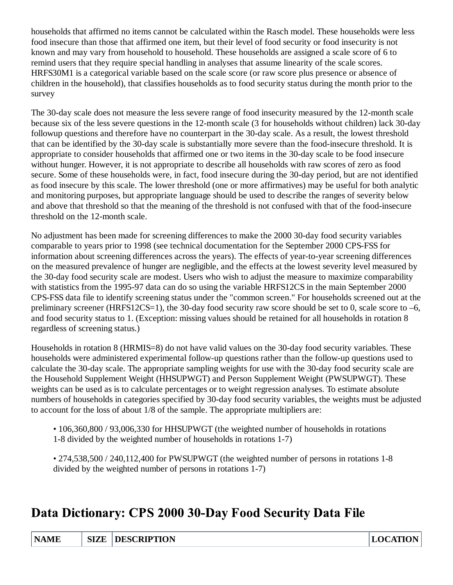households that affirmed no items cannot be calculated within the Rasch model. These households were less food insecure than those that affirmed one item, but their level of food security or food insecurity is not known and may vary from household to household. These households are assigned a scale score of 6 to remind users that they require special handling in analyses that assume linearity of the scale scores. HRFS30M1 is a categorical variable based on the scale score (or raw score plus presence or absence of children in the household), that classifies households as to food security status during the month prior to the survey

The 30-day scale does not measure the less severe range of food insecurity measured by the 12-month scale because six of the less severe questions in the 12-month scale (3 for households without children) lack 30-day followup questions and therefore have no counterpart in the 30-day scale. As a result, the lowest threshold that can be identified by the 30-day scale is substantially more severe than the food-insecure threshold. It is appropriate to consider households that affirmed one or two items in the 30-day scale to be food insecure without hunger. However, it is not appropriate to describe all households with raw scores of zero as food secure. Some of these households were, in fact, food insecure during the 30-day period, but are not identified as food insecure by this scale. The lower threshold (one or more affirmatives) may be useful for both analytic and monitoring purposes, but appropriate language should be used to describe the ranges of severity below and above that threshold so that the meaning of the threshold is not confused with that of the food-insecure threshold on the 12-month scale.

No adjustment has been made for screening differences to make the 2000 30-day food security variables comparable to years prior to 1998 (see technical documentation for the September 2000 CPS-FSS for information about screening differences across the years). The effects of year-to-year screening differences on the measured prevalence of hunger are negligible, and the effects at the lowest severity level measured by the 30-day food security scale are modest. Users who wish to adjust the measure to maximize comparability with statistics from the 1995-97 data can do so using the variable HRFS12CS in the main September 2000 CPS-FSS data file to identify screening status under the "common screen." For households screened out at the preliminary screener (HRFS12CS=1), the 30-day food security raw score should be set to 0, scale score to –6, and food security status to 1. (Exception: missing values should be retained for all households in rotation 8 regardless of screening status.)

Households in rotation 8 (HRMIS=8) do not have valid values on the 30-day food security variables. These households were administered experimental follow-up questions rather than the follow-up questions used to calculate the 30-day scale. The appropriate sampling weights for use with the 30-day food security scale are the Household Supplement Weight (HHSUPWGT) and Person Supplement Weight (PWSUPWGT). These weights can be used as is to calculate percentages or to weight regression analyses. To estimate absolute numbers of households in categories specified by 30-day food security variables, the weights must be adjusted to account for the loss of about 1/8 of the sample. The appropriate multipliers are:

- 106,360,800 / 93,006,330 for HHSUPWGT (the weighted number of households in rotations 1-8 divided by the weighted number of households in rotations 1-7)
- 274,538,500 / 240,112,400 for PWSUPWGT (the weighted number of persons in rotations 1-8 divided by the weighted number of persons in rotations 1-7)

# Data Dictionary: CPS 2000 30-Day Food Security Data File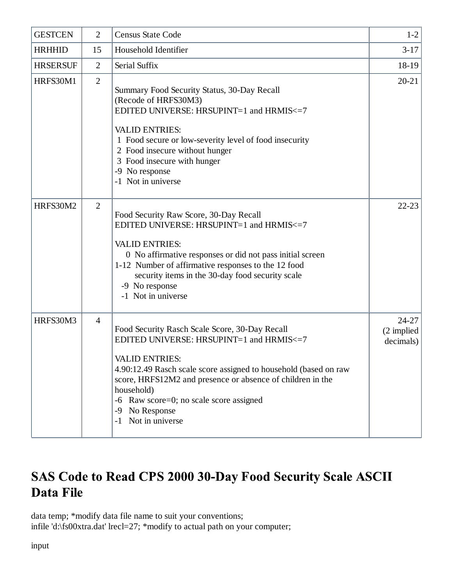| <b>GESTCEN</b>  | $\overline{2}$ | <b>Census State Code</b>                                                                                                                                                                                                                                                                                                                                       | $1-2$                                |
|-----------------|----------------|----------------------------------------------------------------------------------------------------------------------------------------------------------------------------------------------------------------------------------------------------------------------------------------------------------------------------------------------------------------|--------------------------------------|
| <b>HRHHID</b>   | 15             | Household Identifier                                                                                                                                                                                                                                                                                                                                           | $3-17$                               |
| <b>HRSERSUF</b> | $\overline{2}$ | Serial Suffix                                                                                                                                                                                                                                                                                                                                                  | 18-19                                |
| HRFS30M1        | 2              | Summary Food Security Status, 30-Day Recall<br>(Recode of HRFS30M3)<br>EDITED UNIVERSE: HRSUPINT=1 and HRMIS<=7<br><b>VALID ENTRIES:</b><br>1 Food secure or low-severity level of food insecurity<br>2 Food insecure without hunger<br>3 Food insecure with hunger<br>-9 No response<br>-1 Not in universe                                                    | $20 - 21$                            |
| HRFS30M2        | $\overline{2}$ | Food Security Raw Score, 30-Day Recall<br>EDITED UNIVERSE: HRSUPINT=1 and HRMIS<=7<br><b>VALID ENTRIES:</b><br>0 No affirmative responses or did not pass initial screen<br>1-12 Number of affirmative responses to the 12 food<br>security items in the 30-day food security scale<br>-9 No response<br>-1 Not in universe                                    | $22 - 23$                            |
| HRFS30M3        | $\overline{4}$ | Food Security Rasch Scale Score, 30-Day Recall<br>EDITED UNIVERSE: HRSUPINT=1 and HRMIS<=7<br><b>VALID ENTRIES:</b><br>4.90:12.49 Rasch scale score assigned to household (based on raw<br>score, HRFS12M2 and presence or absence of children in the<br>household)<br>-6 Raw score=0; no scale score assigned<br>No Response<br>-9<br>Not in universe<br>$-1$ | $24 - 27$<br>(2 implied<br>decimals) |

# SAS Code to Read CPS 2000 30-Day Food Security Scale ASCII Data File

data temp; \*modify data file name to suit your conventions; infile 'd:\fs00xtra.dat' lrecl=27; \*modify to actual path on your computer;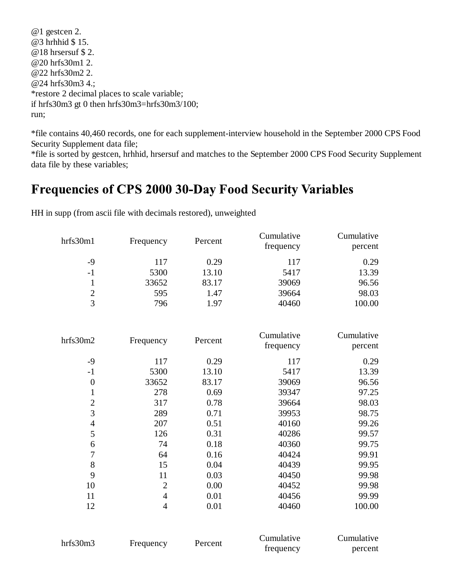@1 gestcen 2. @3 hrhhid \$ 15. @18 hrsersuf \$ 2. @20 hrfs30m1 2. @22 hrfs30m2 2. @24 hrfs30m3 4.; \*restore 2 decimal places to scale variable; if hrfs30m3 gt 0 then hrfs30m3=hrfs30m3/100; run;

\*file contains 40,460 records, one for each supplement-interview household in the September 2000 CPS Food Security Supplement data file;

\*file is sorted by gestcen, hrhhid, hrsersuf and matches to the September 2000 CPS Food Security Supplement data file by these variables;

#### Frequencies of CPS 2000 30-Day Food Security Variables

| hrfs30m1         | Frequency      | Percent | Cumulative | Cumulative |
|------------------|----------------|---------|------------|------------|
|                  |                |         | frequency  | percent    |
| $-9$             | 117            | 0.29    | 117        | 0.29       |
| $-1$             | 5300           | 13.10   | 5417       | 13.39      |
| $\mathbf{1}$     | 33652          | 83.17   | 39069      | 96.56      |
| $\frac{2}{3}$    | 595            | 1.47    | 39664      | 98.03      |
|                  | 796            | 1.97    | 40460      | 100.00     |
|                  |                |         | Cumulative | Cumulative |
| hrfs30m2         | Frequency      | Percent | frequency  | percent    |
| $-9$             | 117            | 0.29    | 117        | 0.29       |
| $-1$             | 5300           | 13.10   | 5417       | 13.39      |
| $\boldsymbol{0}$ | 33652          | 83.17   | 39069      | 96.56      |
|                  |                | 0.69    |            |            |
| $\mathbf{1}$     | 278            |         | 39347      | 97.25      |
| $\overline{2}$   | 317            | 0.78    | 39664      | 98.03      |
| 3                | 289            | 0.71    | 39953      | 98.75      |
| $\overline{4}$   | 207            | 0.51    | 40160      | 99.26      |
| 5                | 126            | 0.31    | 40286      | 99.57      |
| 6                | 74             | 0.18    | 40360      | 99.75      |
| $\boldsymbol{7}$ | 64             | 0.16    | 40424      | 99.91      |
| 8                | 15             | 0.04    | 40439      | 99.95      |
| 9                | 11             | 0.03    | 40450      | 99.98      |
| 10               | $\overline{2}$ | 0.00    | 40452      | 99.98      |
| 11               | $\overline{4}$ | 0.01    | 40456      | 99.99      |
| 12               | $\overline{4}$ | 0.01    | 40460      | 100.00     |
|                  |                |         |            |            |

HH in supp (from ascii file with decimals restored), unweighted

| hrfs30m3 |           |         | Cumulative | Cumulative |
|----------|-----------|---------|------------|------------|
|          | Frequency | Percent | frequency  | percent    |